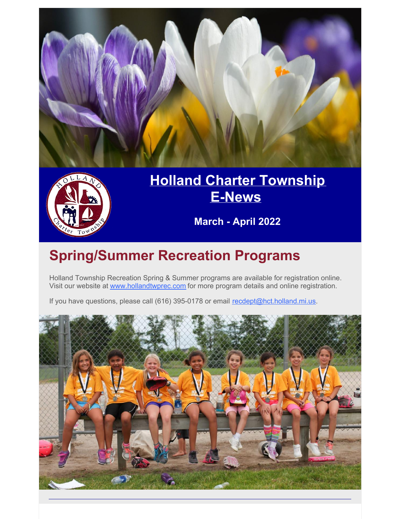



### **Holland Charter [Township](http://www.hct.holland.mi.us/) [E-News](http://www.hct.holland.mi.us/)**

**March - April 2022**

# **Spring/Summer Recreation Programs**

Holland Township Recreation Spring & Summer programs are available for registration online. Visit our website at [www.hollandtwprec.com](https://www.hollandtwprec.com/) for more program details and online registration.

If you have questions, please call (616) 395-0178 or email [recdept@hct.holland.mi.us](mailto:recdept@hct.holland.mi.us).

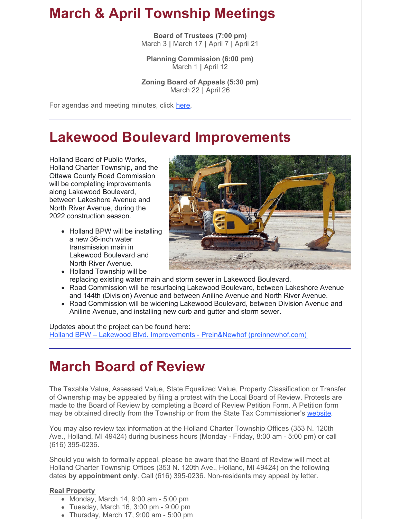### **March & April Township Meetings**

**Board of Trustees (7:00 pm)** March 3 **|** March 17 **|** April 7 **|** April 21

**Planning Commission (6:00 pm)** March 1 **|** April 12

**Zoning Board of Appeals (5:30 pm)** March 22 **|** April 26

For agendas and meeting minutes, click [here](https://www.hct.holland.mi.us/agendas-minutes).

### **Lakewood Boulevard Improvements**

Holland Board of Public Works, Holland Charter Township, and the Ottawa County Road Commission will be completing improvements along Lakewood Boulevard, between Lakeshore Avenue and North River Avenue, during the 2022 construction season.

> • Holland BPW will be installing a new 36-inch water transmission main in Lakewood Boulevard and North River Avenue.

• Holland Township will be

replacing existing water main and storm sewer in Lakewood Boulevard.

- Road Commission will be resurfacing Lakewood Boulevard, between Lakeshore Avenue and 144th (Division) Avenue and between Aniline Avenue and North River Avenue.
- Road Commission will be widening Lakewood Boulevard, between Division Avenue and Aniline Avenue, and installing new curb and gutter and storm sewer.

Updates about the project can be found here: Holland BPW – Lakewood Blvd. Improvements - Prein&Newhof [\(preinnewhof.com\)](https://www.preinnewhof.com/construction_projects/holland-bpw-lakewood-blvd)

### **March Board of Review**

The Taxable Value, Assessed Value, State Equalized Value, Property Classification or Transfer of Ownership may be appealed by filing a protest with the Local Board of Review. Protests are made to the Board of Review by completing a Board of Review Petition Form. A Petition form may be obtained directly from the Township or from the State Tax Commissioner's [website](https://www.michigan.gov/documents/l4035f_2658_7.pdf).

You may also review tax information at the Holland Charter Township Offices (353 N. 120th Ave., Holland, MI 49424) during business hours (Monday - Friday, 8:00 am - 5:00 pm) or call (616) 395-0236.

Should you wish to formally appeal, please be aware that the Board of Review will meet at Holland Charter Township Offices (353 N. 120th Ave., Holland, MI 49424) on the following dates **by appointment only**. Call (616) 395-0236. Non-residents may appeal by letter.

#### **Real Property**

- Monday, March 14, 9:00 am 5:00 pm
- Tuesday, March 16, 3:00 pm 9:00 pm
- Thursday, March 17, 9:00 am 5:00 pm
-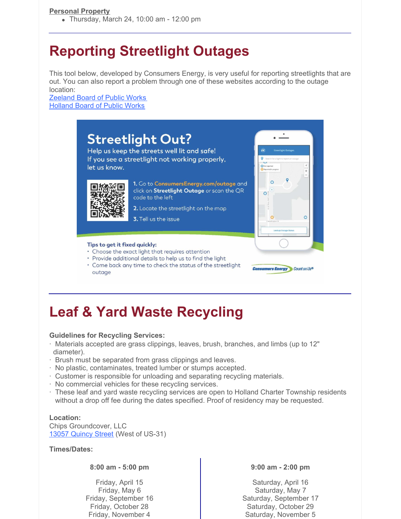#### **Personal Property**

Thursday, March 24, 10:00 am - 12:00 pm

### **Reporting Streetlight Outages**

This tool below, developed by Consumers Energy, is very useful for reporting streetlights that are out. You can also report a problem through one of these websites according to the outage location:

[Zeeland](https://www.zeelandbpw.com/contact/report-a-problem/) Board of Public Works [Holland](https://www.hollandbpw.com/en/streetlight-out) Board of Public Works

#### **Streetlight Out?** Help us keep the streets well lit and safe! If you see a streetlight not working properly, let us know.  $\overline{C}$ 1. Go to ConsumersEnergy.com/outage and click on Streetlight Outage or scan the QR  $\circ$ code to the left 2. Locate the streetlight on the map 3. Tell us the issue Tips to get it fixed quickly: • Choose the exact light that requires attention · Provide additional details to help us to find the light . Come back any time to check the status of the streetlight **Consumers Energy** Count on Us® outage

### **Leaf & Yard Waste Recycling**

#### **Guidelines for Recycling Services:**

- · Materials accepted are grass clippings, leaves, brush, branches, and limbs (up to 12" diameter).
- · Brush must be separated from grass clippings and leaves.
- · No plastic, contaminates, treated lumber or stumps accepted.
- · Customer is responsible for unloading and separating recycling materials.
- · No commercial vehicles for these recycling services.
- · These leaf and yard waste recycling services are open to Holland Charter Township residents without a drop off fee during the dates specified. Proof of residency may be requested.

#### **Location:**

Chips Groundcover, LLC 13057 [Quincy](https://goo.gl/maps/GzuMexp8JEsLTvWk7) Street (West of US-31)

#### **Times/Dates:**

**8:00 am - 5:00 pm**

Friday, April 15 Friday, May 6 Friday, September 16 Friday, October 28 Friday, November 4

#### **9:00 am - 2:00 pm**

Saturday, April 16 Saturday, May 7 Saturday, September 17 Saturday, October 29 Saturday, November 5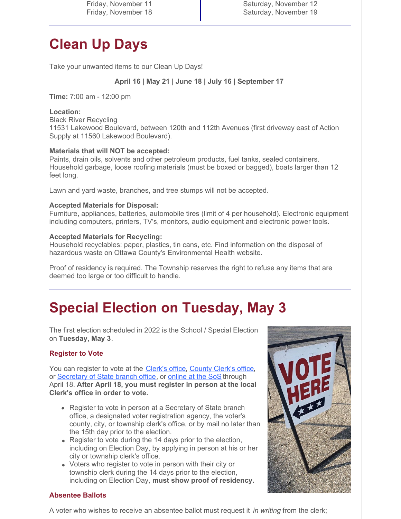Friday, November 11 Friday, November 18 Saturday, November 12 Saturday, November 19

## **Clean Up Days**

Take your unwanted items to our Clean Up Days!

#### **April 16 | May 21 | June 18 | July 16 | September 17**

**Time:** 7:00 am - 12:00 pm

#### **Location:**

Black River Recycling 11531 Lakewood Boulevard, between 120th and 112th Avenues (first driveway east of Action Supply at 11560 Lakewood Boulevard).

#### **Materials that will NOT be accepted:**

Paints, drain oils, solvents and other petroleum products, fuel tanks, sealed containers. Household garbage, loose roofing materials (must be boxed or bagged), boats larger than 12 feet long.

Lawn and yard waste, branches, and tree stumps will not be accepted.

#### **Accepted Materials for Disposal:**

Furniture, appliances, batteries, automobile tires (limit of 4 per household). Electronic equipment including computers, printers, TV's, monitors, audio equipment and electronic power tools.

#### **Accepted Materials for Recycling:**

Household recyclables: paper, plastics, tin cans, etc. Find information on the disposal of hazardous waste on Ottawa County's Environmental Health website.

Proof of residency is required. The Township reserves the right to refuse any items that are deemed too large or too difficult to handle.

### **Special Election on Tuesday, May 3**

The first election scheduled in 2022 is the School / Special Election on **Tuesday, May 3**.

#### **Register to Vote**

You can register to vote at the [Clerk's](https://goo.gl/maps/LqMSWR744RVLjm6q7) office, [County](https://goo.gl/maps/DgebwtzqeNRCXfS7A) Clerk's office, or [Secretary](https://services2.sos.state.mi.us/servicelocator/) of State branch office, or [online](https://mvic.sos.state.mi.us/RegisterVoter/Index) at the SoS through April 18. **After April 18, you must register in person at the local Clerk's office in order to vote.**

- Register to vote in person at a Secretary of State branch office, a designated voter registration agency, the voter's county, city, or township clerk's office, or by mail no later than the 15th day prior to the election.
- Register to vote during the 14 days prior to the election, including on Election Day, by applying in person at his or her city or township clerk's office.
- Voters who register to vote in person with their city or township clerk during the 14 days prior to the election, including on Election Day, **must show proof of residency.**



#### **Absentee Ballots**

A voter who wishes to receive an absentee ballot must request it *in writing* from the clerk;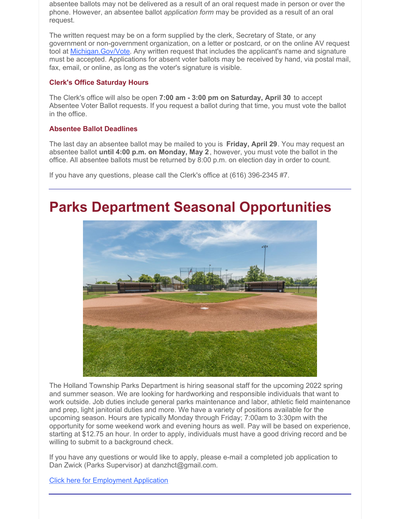absentee ballots may not be delivered as a result of an oral request made in person or over the phone. However, an absentee ballot *application form* may be provided as a result of an oral request.

The written request may be on a form supplied by the clerk, Secretary of State, or any government or non-government organization, on a letter or postcard, or on the online AV request tool at [Michigan.Gov/Vote](https://mvic.sos.state.mi.us/). Any written request that includes the applicant's name and signature must be accepted. Applications for absent voter ballots may be received by hand, via postal mail, fax, email, or online, as long as the voter's signature is visible.

#### **Clerk's Office Saturday Hours**

The Clerk's office will also be open **7:00 am - 3:00 pm on Saturday, April 30** to accept Absentee Voter Ballot requests. If you request a ballot during that time, you must vote the ballot in the office.

#### **Absentee Ballot Deadlines**

The last day an absentee ballot may be mailed to you is **Friday, April 29**. You may request an absentee ballot **until 4:00 p.m. on Monday, May 2**, however, you must vote the ballot in the office. All absentee ballots must be returned by 8:00 p.m. on election day in order to count.

If you have any questions, please call the Clerk's office at (616) 396-2345 #7.

### **Parks Department Seasonal Opportunities**



The Holland Township Parks Department is hiring seasonal staff for the upcoming 2022 spring and summer season. We are looking for hardworking and responsible individuals that want to work outside. Job duties include general parks maintenance and labor, athletic field maintenance and prep, light janitorial duties and more. We have a variety of positions available for the upcoming season. Hours are typically Monday through Friday; 7:00am to 3:30pm with the opportunity for some weekend work and evening hours as well. Pay will be based on experience, starting at \$12.75 an hour. In order to apply, individuals must have a good driving record and be willing to submit to a background check.

If you have any questions or would like to apply, please e-mail a completed job application to Dan Zwick (Parks Supervisor) at danzhct@gmail.com.

Click here for [Employment](https://hct.holland.mi.us/images/stories/hollandcharter/Forms/application for employment part-time.pdf) Application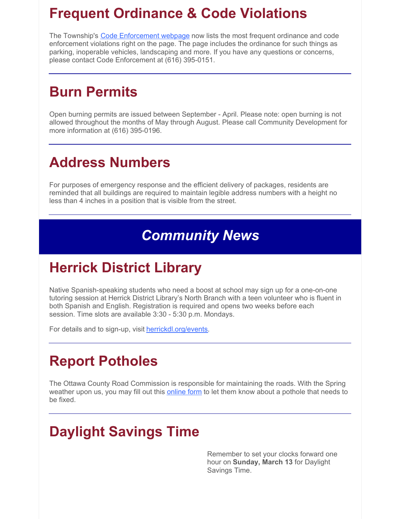### **Frequent Ordinance & Code Violations**

The Township's Code [Enforcement](https://www.hct.holland.mi.us/departments/community-development/code-enforcement) webpage now lists the most frequent ordinance and code enforcement violations right on the page. The page includes the ordinance for such things as parking, inoperable vehicles, landscaping and more. If you have any questions or concerns, please contact Code Enforcement at (616) 395-0151.

### **Burn Permits**

Open burning permits are issued between September - April. Please note: open burning is not allowed throughout the months of May through August. Please call Community Development for more information at (616) 395-0196.

### **Address Numbers**

For purposes of emergency response and the efficient delivery of packages, residents are reminded that all buildings are required to maintain legible address numbers with a height no less than 4 inches in a position that is visible from the street.

### *Community News*

### **Herrick District Library**

Native Spanish-speaking students who need a boost at school may sign up for a one-on-one tutoring session at Herrick District Library's North Branch with a teen volunteer who is fluent in both Spanish and English. Registration is required and opens two weeks before each session. Time slots are available 3:30 - 5:30 p.m. Mondays.

For details and to sign-up, visit [herrickdl.org/events](https://herrickdl.bibliocommons.com/events/search/index).

### **Report Potholes**

The Ottawa County Road Commission is responsible for maintaining the roads. With the Spring weather upon us, you may fill out this **[online](http://www.ottawacorc.com/contact/service-requests/) form** to let them know about a pothole that needs to be fixed.

# **Daylight Savings Time**

Remember to set your clocks forward one hour on **Sunday, March 13** for Daylight Savings Time.